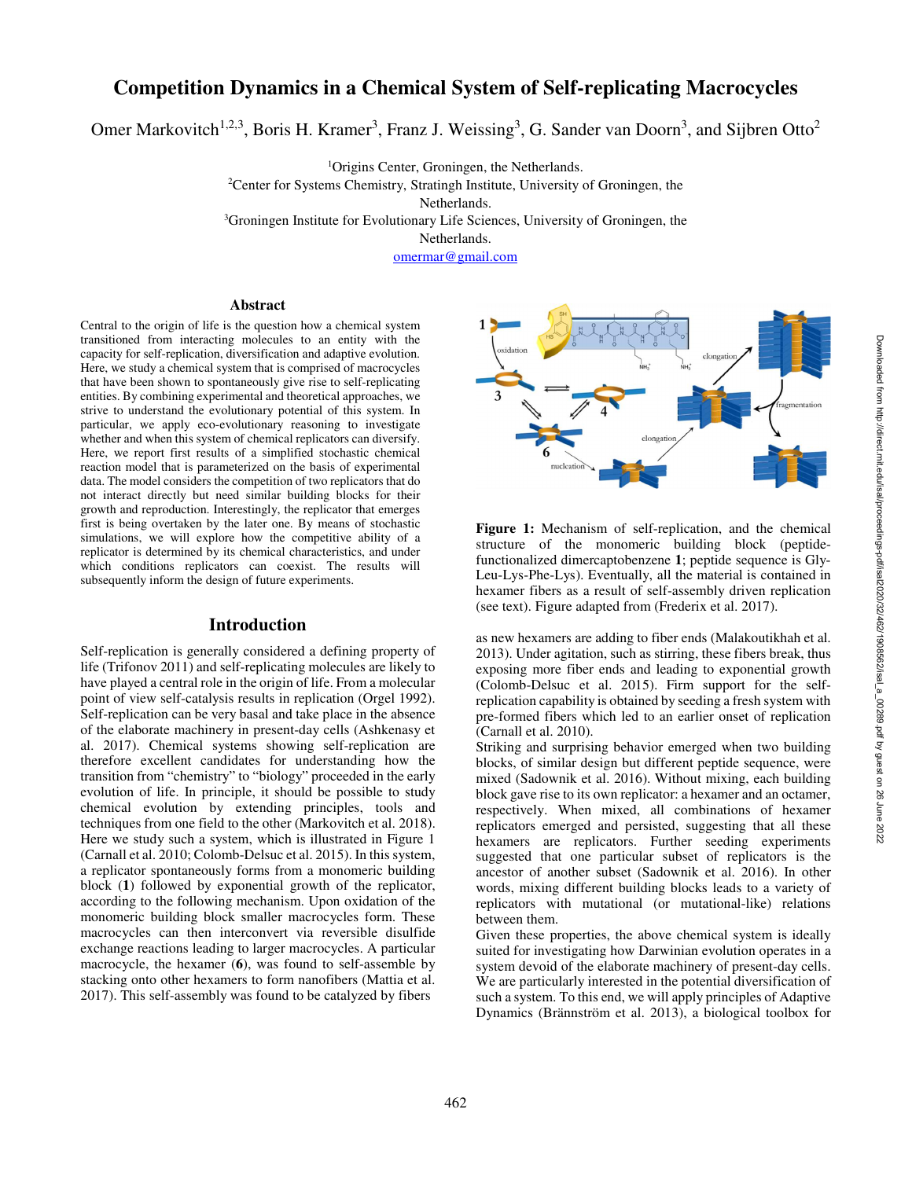# **Competition Dynamics in a Chemical System of Self-replicating Macrocycles**

Omer Markovitch<sup>1,2,3</sup>, Boris H. Kramer<sup>3</sup>, Franz J. Weissing<sup>3</sup>, G. Sander van Doorn<sup>3</sup>, and Sijbren Otto<sup>2</sup>

<sup>1</sup>Origins Center, Groningen, the Netherlands.

<sup>2</sup>Center for Systems Chemistry, Stratingh Institute, University of Groningen, the

Netherlands.

<sup>3</sup>Groningen Institute for Evolutionary Life Sciences, University of Groningen, the

Netherlands.

omermar@gmail.com

#### **Abstract**

Central to the origin of life is the question how a chemical system transitioned from interacting molecules to an entity with the capacity for self-replication, diversification and adaptive evolution. Here, we study a chemical system that is comprised of macrocycles that have been shown to spontaneously give rise to self-replicating entities. By combining experimental and theoretical approaches, we strive to understand the evolutionary potential of this system. In particular, we apply eco-evolutionary reasoning to investigate whether and when this system of chemical replicators can diversify. Here, we report first results of a simplified stochastic chemical reaction model that is parameterized on the basis of experimental data. The model considers the competition of two replicators that do not interact directly but need similar building blocks for their growth and reproduction. Interestingly, the replicator that emerges first is being overtaken by the later one. By means of stochastic simulations, we will explore how the competitive ability of a replicator is determined by its chemical characteristics, and under which conditions replicators can coexist. The results will subsequently inform the design of future experiments.

## **Introduction**

Self-replication is generally considered a defining property of life (Trifonov 2011) and self-replicating molecules are likely to have played a central role in the origin of life. From a molecular point of view self-catalysis results in replication (Orgel 1992). Self-replication can be very basal and take place in the absence of the elaborate machinery in present-day cells (Ashkenasy et al. 2017). Chemical systems showing self-replication are therefore excellent candidates for understanding how the transition from "chemistry" to "biology" proceeded in the early evolution of life. In principle, it should be possible to study chemical evolution by extending principles, tools and techniques from one field to the other (Markovitch et al. 2018). Here we study such a system, which is illustrated in Figure 1 (Carnall et al. 2010; Colomb-Delsuc et al. 2015). In this system, a replicator spontaneously forms from a monomeric building block ( **1**) followed by exponential growth of the replicator, according to the following mechanism. Upon oxidation of the monomeric building block smaller macrocycles form. These macrocycles can then interconvert via reversible disulfide exchange reactions leading to larger macrocycles. A particular macrocycle, the hexamer ( **6**), was found to self-assemble by stacking onto other hexamers to form nanofibers (Mattia et al. 2017). This self-assembly was found to be catalyzed by fibers



**Figure 1:** Mechanism of self-replication, and the chemical structure of the monomeric building block (peptidefunctionalized dimercaptobenzene **1**; peptide sequence is Gly-Leu-Lys-Phe-Lys). Eventually, all the material is contained in hexamer fibers as a result of self-assembly driven replication (see text). Figure adapted from (Frederix et al. 2017).

as new hexamers are adding to fiber ends (Malakoutikhah et al. 2013). Under agitation, such as stirring, these fibers break, thus exposing more fiber ends and leading to exponential growth (Colomb-Delsuc et al. 2015). Firm support for the selfreplication capability is obtained by seeding a fresh system with pre-formed fibers which led to an earlier onset of replication (Carnall et al. 2010).

Striking and surprising behavior emerged when two building blocks, of similar design but different peptide sequence, were mixed (Sadownik et al. 2016). Without mixing, each building block gave rise to its own replicator: a hexamer and an octamer, respectively. When mixed, all combinations of hexamer replicators emerged and persisted, suggesting that all these hexamers are replicators. Further seeding experiments suggested that one particular subset of replicators is the ancestor of another subset (Sadownik et al. 2016). In other words, mixing different building blocks leads to a variety of replicators with mutational (or mutational-like) relations between them.

Given these properties, the above chemical system is ideally suited for investigating how Darwinian evolution operates in a system devoid of the elaborate machinery of present-day cells. We are particularly interested in the potential diversification of such a system. To this end, we will apply principles of Adaptive Dynamics (Brännström et al. 2013), a biological toolbox for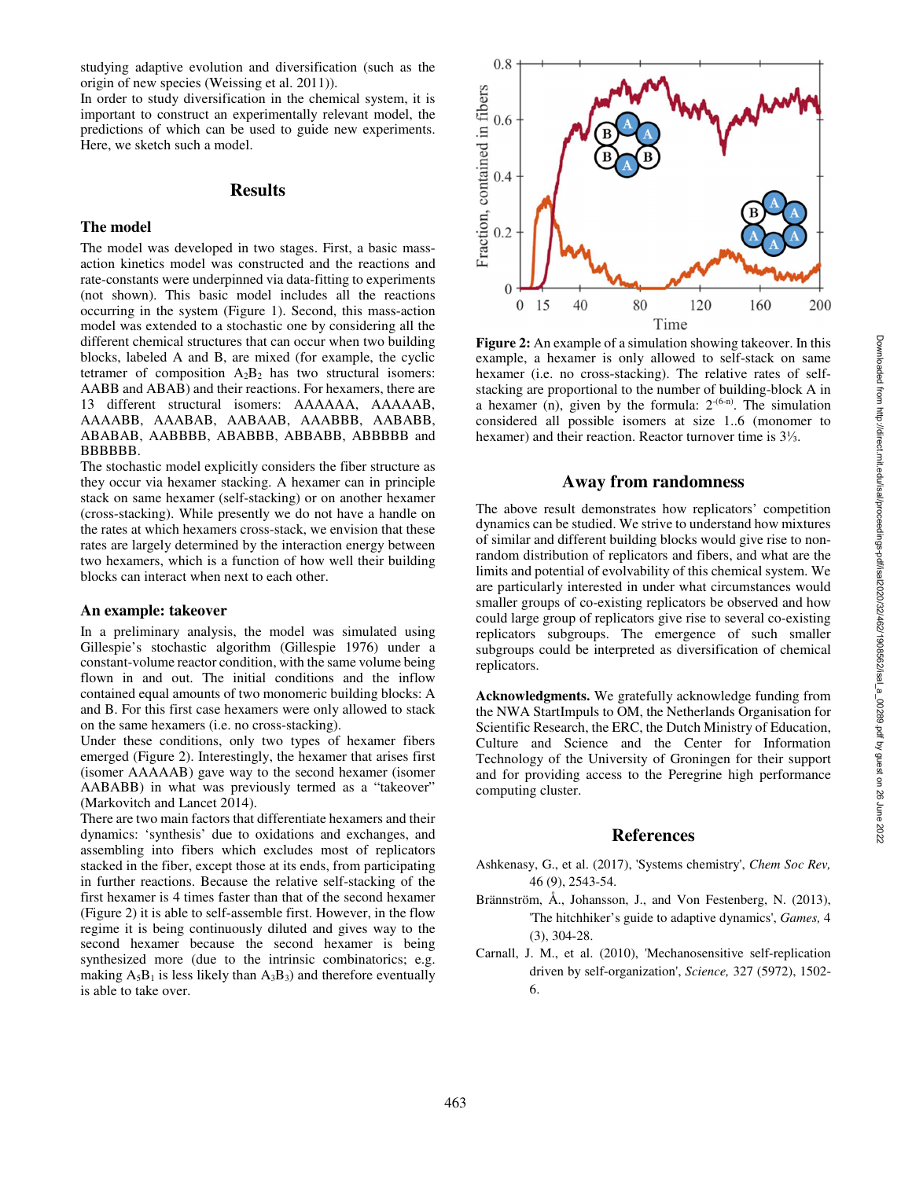studying adaptive evolution and diversification (such as the origin of new species (Weissing et al. 2011)).

In order to study diversification in the chemical system, it is important to construct an experimentally relevant model, the predictions of which can be used to guide new experiments. Here, we sketch such a model.

## **Results**

#### **The model**

The model was developed in two stages. First, a basic massaction kinetics model was constructed and the reactions and rate-constants were underpinned via data-fitting to experiments (not shown). This basic model includes all the reactions occurring in the system (Figure 1). Second, this mass-action model was extended to a stochastic one by considering all the different chemical structures that can occur when two building blocks, labeled A and B, are mixed (for example, the cyclic tetramer of composition  $A_2B_2$  has two structural isomers: AABB and ABAB) and their reactions. For hexamers, there are 13 different structural isomers: AAAAAA, AAAAAB, AAAABB, AAABAB, AABAAB, AAABBB, AABABB, ABABAB, AABBBB, ABABBB, ABBABB, ABBBBB and BBBBBB.

The stochastic model explicitly considers the fiber structure as they occur via hexamer stacking. A hexamer can in principle stack on same hexamer (self-stacking) or on another hexamer (cross-stacking). While presently we do not have a handle on the rates at which hexamers cross-stack, we envision that these rates are largely determined by the interaction energy between two hexamers, which is a function of how well their building blocks can interact when next to each other.

### **An example: takeover**

In a preliminary analysis, the model was simulated using Gillespie's stochastic algorithm (Gillespie 1976) under a constant-volume reactor condition, with the same volume being flown in and out. The initial conditions and the inflow contained equal amounts of two monomeric building blocks: A and B. For this first case hexamers were only allowed to stack on the same hexamers (i.e. no cross-stacking).

Under these conditions, only two types of hexamer fibers emerged (Figure 2). Interestingly, the hexamer that arises first (isomer AAAAAB) gave way to the second hexamer (isomer AABABB) in what was previously termed as a "takeover" (Markovitch and Lancet 2014).

There are two main factors that differentiate hexamers and their dynamics: 'synthesis' due to oxidations and exchanges, and assembling into fibers which excludes most of replicators stacked in the fiber, except those at its ends, from participating in further reactions. Because the relative self-stacking of the first hexamer is 4 times faster than that of the second hexamer (Figure 2) it is able to self-assemble first. However, in the flow regime it is being continuously diluted and gives way to the second hexamer because the second hexamer is being synthesized more (due to the intrinsic combinatorics; e.g. making  $A_5B_1$  is less likely than  $A_3B_3$ ) and therefore eventually is able to take over.



**Figure 2:** An example of a simulation showing takeover. In this example, a hexamer is only allowed to self-stack on same hexamer (i.e. no cross-stacking). The relative rates of selfstacking are proportional to the number of building-block A in a hexamer (n), given by the formula:  $2^{-(6-n)}$ . The simulation considered all possible isomers at size 1..6 (monomer to hexamer) and their reaction. Reactor turnover time is 31⁄3.

## **Away from randomness**

The above result demonstrates how replicators' competition dynamics can be studied. We strive to understand how mixtures of similar and different building blocks would give rise to nonrandom distribution of replicators and fibers, and what are the limits and potential of evolvability of this chemical system. We are particularly interested in under what circumstances would smaller groups of co-existing replicators be observed and how could large group of replicators give rise to several co-existing replicators subgroups. The emergence of such smaller subgroups could be interpreted as diversification of chemical replicators.

**Acknowledgments.** We gratefully acknowledge funding from the NWA StartImpuls to OM, the Netherlands Organisation for Scientific Research, the ERC, the Dutch Ministry of Education, Culture and Science and the Center for Information Technology of the University of Groningen for their support and for providing access to the Peregrine high performance computing cluster.

### **References**

- Ashkenasy, G., et al. (2017), 'Systems chemistry', *Chem Soc Rev,* 46 (9), 2543-54.
- Brännström, Å., Johansson, J., and Von Festenberg, N. (2013), 'The hitchhiker's guide to adaptive dynamics', *Games,* 4 (3), 304-28.
- Carnall, J. M., et al. (2010), 'Mechanosensitive self-replication driven by self-organization', *Science,* 327 (5972), 1502- 6.